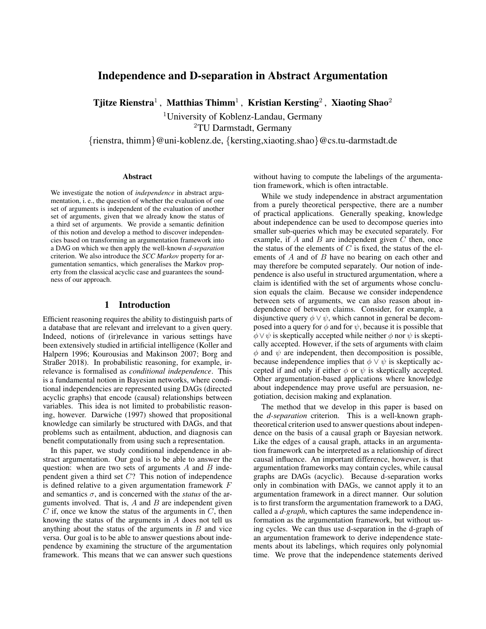# Independence and D-separation in Abstract Argumentation

Tjitze Rienstra $^1$  , Matthias Thimm $^1$  , Kristian Kersting $^2$  , Xiaoting Shao $^2$ 

<sup>1</sup>University of Koblenz-Landau, Germany

<sup>2</sup>TU Darmstadt, Germany

{rienstra, thimm}@uni-koblenz.de, {kersting,xiaoting.shao}@cs.tu-darmstadt.de

#### Abstract

We investigate the notion of *independence* in abstract argumentation, i. e., the question of whether the evaluation of one set of arguments is independent of the evaluation of another set of arguments, given that we already know the status of a third set of arguments. We provide a semantic definition of this notion and develop a method to discover independencies based on transforming an argumentation framework into a DAG on which we then apply the well-known *d-separation* criterion. We also introduce the *SCC Markov* property for argumentation semantics, which generalises the Markov property from the classical acyclic case and guarantees the soundness of our approach.

### 1 Introduction

Efficient reasoning requires the ability to distinguish parts of a database that are relevant and irrelevant to a given query. Indeed, notions of (ir)relevance in various settings have been extensively studied in artificial intelligence [\(Koller and](#page-9-0) [Halpern 1996;](#page-9-0) [Kourousias and Makinson 2007;](#page-9-1) [Borg and](#page-9-2) [Straßer 2018\)](#page-9-2). In probabilistic reasoning, for example, irrelevance is formalised as *conditional independence*. This is a fundamental notion in Bayesian networks, where conditional independencies are represented using DAGs (directed acyclic graphs) that encode (causal) relationships between variables. This idea is not limited to probabilistic reasoning, however. Darwiche [\(1997\)](#page-9-3) showed that propositional knowledge can similarly be structured with DAGs, and that problems such as entailment, abduction, and diagnosis can benefit computationally from using such a representation.

In this paper, we study conditional independence in abstract argumentation. Our goal is to be able to answer the question: when are two sets of arguments  $A$  and  $B$  independent given a third set  $C$ ? This notion of independence is defined relative to a given argumentation framework  $F$ and semantics  $\sigma$ , and is concerned with the *status* of the arguments involved. That is,  $A$  and  $B$  are independent given  $C$  if, once we know the status of the arguments in  $C$ , then knowing the status of the arguments in A does not tell us anything about the status of the arguments in  $B$  and vice versa. Our goal is to be able to answer questions about independence by examining the structure of the argumentation framework. This means that we can answer such questions

without having to compute the labelings of the argumentation framework, which is often intractable.

While we study independence in abstract argumentation from a purely theoretical perspective, there are a number of practical applications. Generally speaking, knowledge about independence can be used to decompose queries into smaller sub-queries which may be executed separately. For example, if  $A$  and  $B$  are independent given  $C$  then, once the status of the elements of  $\overline{C}$  is fixed, the status of the elements of A and of B have no bearing on each other and may therefore be computed separately. Our notion of independence is also useful in structured argumentation, where a claim is identified with the set of arguments whose conclusion equals the claim. Because we consider independence between sets of arguments, we can also reason about independence of between claims. Consider, for example, a disjunctive query  $\phi \lor \psi$ , which cannot in general be decomposed into a query for  $\phi$  and for  $\psi$ , because it is possible that  $\phi \lor \psi$  is skeptically accepted while neither  $\phi$  nor  $\psi$  is skeptically accepted. However, if the sets of arguments with claim  $\phi$  and  $\psi$  are independent, then decomposition is possible, because independence implies that  $\phi \lor \psi$  is skeptically accepted if and only if either  $\phi$  or  $\psi$  is skeptically accepted. Other argumentation-based applications where knowledge about independence may prove useful are persuasion, negotiation, decision making and explanation.

The method that we develop in this paper is based on the *d-separation* criterion. This is a well-known graphtheoretical criterion used to answer questions about independence on the basis of a causal graph or Bayesian network. Like the edges of a causal graph, attacks in an argumentation framework can be interpreted as a relationship of direct causal influence. An important difference, however, is that argumentation frameworks may contain cycles, while causal graphs are DAGs (acyclic). Because d-separation works only in combination with DAGs, we cannot apply it to an argumentation framework in a direct manner. Our solution is to first transform the argumentation framework to a DAG, called a *d-graph*, which captures the same independence information as the argumentation framework, but without using cycles. We can thus use d-separation in the d-graph of an argumentation framework to derive independence statements about its labelings, which requires only polynomial time. We prove that the independence statements derived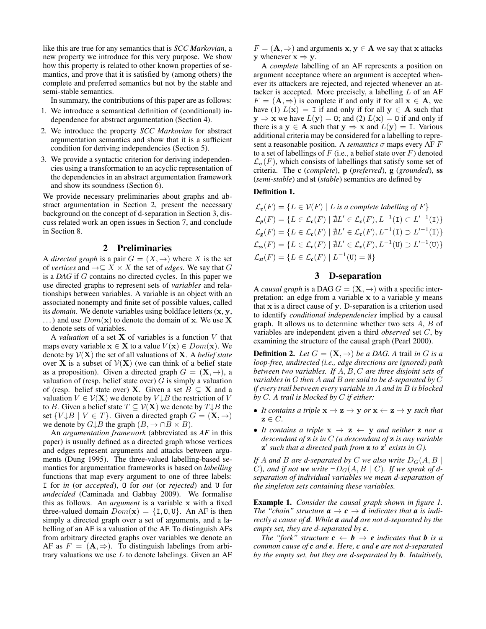like this are true for any semantics that is *SCC Markovian*, a new property we introduce for this very purpose. We show how this property is related to other known properties of semantics, and prove that it is satisfied by (among others) the complete and preferred semantics but not by the stable and semi-stable semantics.

In summary, the contributions of this paper are as follows:

- 1. We introduce a semantical definition of (conditional) independence for abstract argumentation (Section [4\)](#page-2-0).
- 2. We introduce the property *SCC Markovian* for abstract argumentation semantics and show that it is a sufficient condition for deriving independencies (Section [5\)](#page-3-0).
- 3. We provide a syntactic criterion for deriving independencies using a transformation to an acyclic representation of the dependencies in an abstract argumentation framework and show its soundness (Section [6\)](#page-5-0).

We provide necessary preliminaries about graphs and abstract argumentation in Section [2,](#page-1-0) present the necessary background on the concept of d-separation in Section [3,](#page-1-1) discuss related work an open issues in Section [7,](#page-8-0) and conclude in Section [8.](#page-8-1)

## 2 Preliminaries

<span id="page-1-0"></span>A *directed graph* is a pair  $G = (X, \rightarrow)$  where X is the set of *vertices* and  $\rightarrow \subseteq X \times X$  the set of *edges*. We say that G is a *DAG* if G contains no directed cycles. In this paper we use directed graphs to represent sets of *variables* and relationships between variables. A variable is an object with an associated nonempty and finite set of possible values, called its *domain*. We denote variables using boldface letters (x, y, ...) and use  $Dom(\mathbf{x})$  to denote the domain of x. We use X to denote sets of variables.

A *valuation* of a set  $X$  of variables is a function  $V$  that maps every variable  $x \in X$  to a value  $V(x) \in Dom(x)$ . We denote by V(X) the set of all valuations of X. A *belief state* over **X** is a subset of  $V(X)$  (we can think of a belief state as a proposition). Given a directed graph  $G = (\mathbf{X}, \rightarrow)$ , a valuation of (resp. belief state over)  $G$  is simply a valuation of (resp. belief state over) X. Given a set  $B \subseteq X$  and a valuation  $V \in \mathcal{V}(\mathbf{X})$  we denote by  $V \downarrow B$  the restriction of V to B. Given a belief state  $T \subseteq V(X)$  we denote by  $T \downarrow B$  the set  $\{V \downarrow B \mid V \in T\}$ . Given a directed graph  $G = (\mathbf{X}, \rightarrow)$ we denote by  $G \downarrow B$  the graph  $(B, \rightarrow \cap B \times B)$ .

An *argumentation framework* (abbreviated as *AF* in this paper) is usually defined as a directed graph whose vertices and edges represent arguments and attacks between arguments [\(Dung 1995\)](#page-9-4). The three-valued labelling-based semantics for argumentation frameworks is based on *labelling* functions that map every argument to one of three labels: I for *in* (or *accepted*), O for *out* (or *rejected*) and U for *undecided* [\(Caminada and Gabbay 2009\)](#page-9-5). We formalise this as follows. An *argument* is a variable x with a fixed three-valued domain  $Dom(\mathbf{x}) = \{I, 0, U\}$ . An AF is then simply a directed graph over a set of arguments, and a labelling of an AF is a valuation of the AF. To distinguish AFs from arbitrary directed graphs over variables we denote an AF as  $F = (\mathbf{A}, \Rightarrow)$ . To distinguish labelings from arbitrary valuations we use  $L$  to denote labelings. Given an AF

 $F = (\mathbf{A}, \Rightarrow)$  and arguments  $\mathbf{x}, \mathbf{y} \in \mathbf{A}$  we say that x attacks y whenever  $x \Rightarrow y$ .

A *complete* labelling of an AF represents a position on argument acceptance where an argument is accepted whenever its attackers are rejected, and rejected whenever an attacker is accepted. More precisely, a labelling  $L$  of an AF  $F = (\mathbf{A}, \Rightarrow)$  is complete if and only if for all  $\mathbf{x} \in \mathbf{A}$ , we have (1)  $L(\mathbf{x}) = I$  if and only if for all  $\mathbf{y} \in A$  such that  $y \Rightarrow x$  we have  $L(y) = 0$ ; and (2)  $L(x) = 0$  if and only if there is a  $y \in A$  such that  $y \Rightarrow x$  and  $L(y) = I$ . Various additional criteria may be considered for a labelling to represent a reasonable position. A *semantics*  $\sigma$  maps every AF F to a set of labellings of  $F$  (i.e., a belief state over  $F$ ) denoted  $\mathcal{L}_{\sigma}(F)$ , which consists of labellings that satisfy some set of criteria. The c (*complete*), p (*preferred*), g (*grounded*), ss (*semi-stable*) and st (*stable*) semantics are defined by

# Definition 1.

 $\mathcal{L}_c(F) = \{ L \in \mathcal{V}(F) \mid L \text{ is a complete labeling of } F \}$  $\mathcal{L}_{p}(F) = \{ L \in \mathcal{L}_{c}(F) \mid \nexists L' \in \mathcal{L}_{c}(F), L^{-1}(\mathbf{I}) \subset L'^{-1}(\mathbf{I}) \}$  $\mathcal{L}_{g}(F) = \{ L \in \mathcal{L}_{c}(F) \mid \nexists L' \in \mathcal{L}_{c}(F), L^{-1}(\mathbf{I}) \supset L'^{-1}(\mathbf{I}) \}$  $\mathcal{L}_{ss}(F) = \{ L \in \mathcal{L}_{c}(F) \mid \nexists L' \in \mathcal{L}_{c}(F), L^{-1}(U) \supset L'^{-1}(U) \}$  $\mathcal{L}_{\textit{st}}(F) = \{ L \in \mathcal{L}_{\textit{c}}(F) \mid L^{-1}(\mathtt{U}) = \emptyset \}$ 

# 3 D-separation

<span id="page-1-1"></span>A *causal graph* is a DAG  $G = (\mathbf{X}, \rightarrow)$  with a specific interpretation: an edge from a variable x to a variable y means that  $x$  is a direct cause of  $y$ . D-separation is a criterion used to identify *conditional independencies* implied by a causal graph. It allows us to determine whether two sets  $A, B$  of variables are independent given a third *observed* set C, by examining the structure of the causal graph [\(Pearl 2000\)](#page-9-6).

**Definition 2.** Let  $G = (\mathbf{X}, \rightarrow)$  be a DAG. A trail in G is a *loop-free, undirected (i.e., edge directions are ignored) path between two variables. If* A, B, C *are three disjoint sets of variables in* G *then* A *and* B *are said to be d-separated by* C *if every trail between every variable in* A *and in* B *is blocked by* C*. A trail is blocked by* C *if either:*

- *It contains a triple*  $\mathbf{x} \to \mathbf{z} \to \mathbf{y}$  *or*  $\mathbf{x} \gets \mathbf{z} \to \mathbf{y}$  *such that*  $z \in C$ .
- It contains a triple  $x \rightarrow z \leftarrow y$  and neither z nor a *descendant of* z *is in* C *(a descendant of* z *is any variable*  $\mathbf{z}'$  such that a directed path from  $\mathbf{z}$  to  $\mathbf{z}'$  exists in  $G$ ).

*If* A and B are d-separated by C we also write  $D_G(A, B)$ C), and if not we write  $\neg D_G(A, B \mid C)$ . If we speak of d*separation of individual variables we mean d-separation of the singleton sets containing these variables.*

<span id="page-1-2"></span>Example 1. *Consider the causal graph shown in figure [1.](#page-2-1) The "chain" structure*  $a \rightarrow c \rightarrow d$  *indicates that*  $a$  *is indirectly a cause of d. While a and d are not d-separated by the empty set, they are d-separated by c.*

*The "fork" structure*  $c \leftarrow b \rightarrow e$  *indicates that b is a common cause of c and e. Here, c and e are not d-separated by the empty set, but they are d-separated by b. Intuitively,*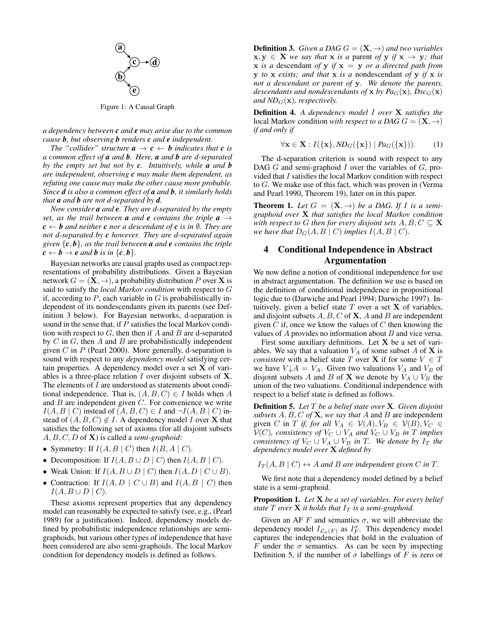<span id="page-2-1"></span>

Figure 1: A Causal Graph

*a dependency between c and e may arise due to the common cause b, but observing b renders c and e independent.*

*The "collider" structure*  $\mathbf{a} \to \mathbf{c} \leftarrow \mathbf{b}$  *indicates that*  $\mathbf{c}$  *is a common effect of a and b. Here, a and b are d-separated by the empty set but not by c. Intuitively, while a and b are independent, observing c may make them dependent, as refuting one cause may make the other cause more probable. Since d is also a common effect of a and b, it similarly holds that a and b are not d-separated by d.*

*Now consider a and e. They are d-separated by the empty set, as the trail between a and e <i>contains the triple*  $a \rightarrow$  $c \leftarrow b$  *and neither c nor a descendant of c is in*  $\emptyset$ *. They are not d-separated by c however. They are d-separated again given* {*c*, *b*}*, as the trail between a and e contains the triple*  $c \leftarrow b \rightarrow e$  *and b is in* {*c*, *b*}.

Bayesian networks are causal graphs used as compact representations of probability distributions. Given a Bayesian network  $G = (\mathbf{X}, \rightarrow)$ , a probability distribution P over **X** is said to satisfy the *local Markov condition* with respect to G if, according to  $P$ , each variable in  $G$  is probabilistically independent of its nondescendants given its parents (see Definition [3](#page-2-2) below). For Bayesian networks, d-separation is sound in the sense that, if P satisfies the local Markov condition with respect to  $G$ , then then if  $A$  and  $B$  are d-separated by  $C$  in  $G$ , then  $A$  and  $B$  are probabilistically independent given  $C$  in  $P$  [\(Pearl 2000\)](#page-9-6). More generally, d-separation is sound with respect to any *dependency model* satisfying certain properties. A dependency model over a set  $X$  of variables is a three-place relation  $I$  over disjoint subsets of  $X$ . The elements of I are understood as statements about conditional independence. That is,  $(A, B, C) \in I$  holds when A and  $B$  are independent given  $C$ . For convenience we write  $I(A, B \mid C)$  instead of  $(A, B, C) \in I$  and  $\neg I(A, B \mid C)$  instead of  $(A, B, C) \notin I$ . A dependency model I over **X** that satisfies the following set of axioms (for all disjoint subsets A, B, C, D of X) is called a *semi-graphoid*:

- Symmetry: If  $I(A, B \mid C)$  then  $I(B, A \mid C)$ .
- Decomposition: If  $I(A, B \cup D \mid C)$  then  $I(A, B \mid C)$ .
- Weak Union: If  $I(A, B \cup D \mid C)$  then  $I(A, D \mid C \cup B)$ .
- Contraction: If  $I(A, D \mid C \cup B)$  and  $I(A, B \mid C)$  then  $I(A, B \cup D \mid C)$ .

These axioms represent properties that any dependency model can reasonably be expected to satisfy (see, e.g., [\(Pearl](#page-9-7) [1989\)](#page-9-7) for a justification). Indeed, dependency models defined by probabilistic independence relationships are semigraphoids, but various other types of independence that have been considered are also semi-graphoids. The local Markov condition for dependency models is defined as follows.

<span id="page-2-2"></span>**Definition 3.** *Given a DAG*  $G = (\mathbf{X}, \rightarrow)$  *and two variables*  $x, y \in X$  *we say that* x *is a* parent *of* y *if*  $x \to y$ *; that*  $x$  *is a* descendant *of*  $y$  *if*  $x = y$  *or a directed path from* y *to* x *exists; and that* x *is a* nondescendant *of* y *if* x *is not a descendant or parent of* y*. We denote the parents, descendants and nondescendants of* x *by Pa* $_G$ (x)*, Dsc* $_G$ (x) *and ND<sub>G</sub>*( $\mathbf{x}$ )*, respectively.* 

Definition 4. *A dependency model* I *over* X *satisfies the* local Markov condition *with respect to a DAG*  $G = (\mathbf{X}, \rightarrow)$ *if and only if*

$$
\forall \mathbf{x} \in \mathbf{X} : I(\{\mathbf{x}\}, N D_G(\{\mathbf{x}\}) \mid Pa_G(\{\mathbf{x}\})). \tag{1}
$$

The d-separation criterion is sound with respect to any DAG  $G$  and semi-graphoid  $I$  over the variables of  $G$ , provided that I satisfies the local Markov condition with respect to G. We make use of this fact, which was proven in [\(Verma](#page-9-8) [and Pearl 1990,](#page-9-8) Theorem 19), later on in this paper.

<span id="page-2-4"></span>**Theorem 1.** Let  $G = (\mathbf{X}, \rightarrow)$  be a DAG. If I is a semi*graphoid over* X *that satisfies the local Markov condition with respect to* G *then for every disjoint sets*  $A, B, C \subseteq \mathbf{X}$ *we have that*  $D_G(A, B \mid C)$  *implies*  $I(A, B \mid C)$ *.* 

# <span id="page-2-0"></span>4 Conditional Independence in Abstract Argumentation

We now define a notion of conditional independence for use in abstract argumentation. The definition we use is based on the definition of conditional independence in propositional logic due to [\(Darwiche and Pearl 1994;](#page-9-9) [Darwiche 1997\)](#page-9-3). Intuitively, given a belief state  $T$  over a set  $X$  of variables, and disjoint subsets  $A, B, C$  of  $X, A$  and  $B$  are independent given C if, once we know the values of C then knowing the values of  $A$  provides no information about  $B$  and vice versa.

First some auxiliary definitions. Let  $X$  be a set of variables. We say that a valuation  $V_A$  of some subset A of X is *consistent* with a belief state T over **X** if for some  $V \in T$ we have  $V \downarrow A = V_A$ . Given two valuations  $V_A$  and  $V_B$  of disjoint subsets A and B of X we denote by  $V_A \cup V_B$  the union of the two valuations. Conditional independence with respect to a belief state is defined as follows.

<span id="page-2-3"></span>Definition 5. *Let* T *be a belief state over* X*. Given disjoint subsets* A, B, C *of* X*, we say that* A and B are independent given C in T *if, for all*  $V_A \in V(A), V_B \in V(B), V_C \in$  $\mathcal{V}(C)$ *, consistency of*  $V_C \cup V_A$  *and*  $\mathcal{V}_C \cup V_B$  *in*  $\overline{T}$  *implies consistency of*  $V_C \cup V_A \cup V_B$  *in*  $T$ *. We denote by*  $I_T$  *the dependency model over* X *defined by*

 $I_T(A, B \mid C) \leftrightarrow A$  and B are independent given C in T.

We first note that a dependency model defined by a belief state is a semi-graphoid.

Proposition 1. *Let* X *be a set of variables. For every belief state*  $T$  *over*  $X$  *it holds that*  $I_T$  *is a semi-graphoid.* 

Given an AF F and semantics  $\sigma$ , we will abbreviate the dependency model  $I_{\mathcal{L}_{\sigma}(F)}$  as  $I_F^{\sigma}$ . This dependency model captures the independencies that hold in the evaluation of F under the  $\sigma$  semantics. As can be seen by inspecting Definition [5,](#page-2-3) if the number of  $\sigma$  labellings of F is zero or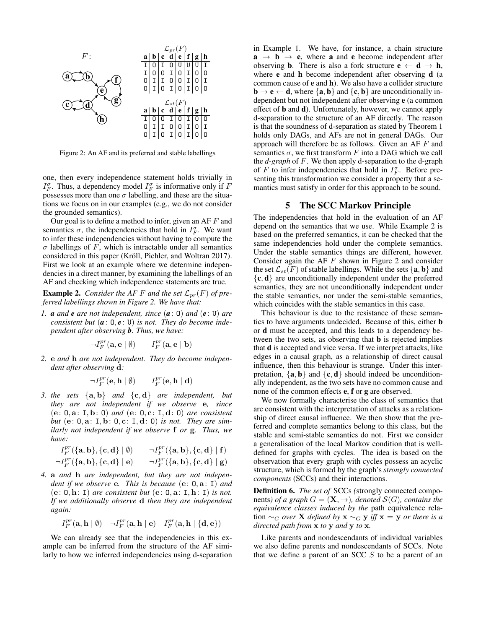<span id="page-3-1"></span>

Figure 2: An AF and its preferred and stable labellings

one, then every independence statement holds trivially in  $I_F^{\sigma}$ . Thus, a dependency model  $I_F^{\sigma}$  is informative only if F possesses more than one  $\sigma$  labelling, and these are the situations we focus on in our examples (e.g., we do not consider the grounded semantics).

Our goal is to define a method to infer, given an AF  $F$  and semantics  $\sigma$ , the independencies that hold in  $I_F^{\sigma}$ . We want to infer these independencies without having to compute the  $\sigma$  labellings of F, which is intractable under all semantics considered in this paper (Kröll, Pichler, and Woltran 2017). First we look at an example where we determine independencies in a direct manner, by examining the labellings of an AF and checking which independence statements are true.

<span id="page-3-2"></span>**Example 2.** *Consider the AF F and the set*  $\mathcal{L}_{pr}(F)$  *of preferred labellings shown in Figure [2.](#page-3-1) We have that:*

*1. a and e are not independent, since* (*a*: O) *and* (*e* : U) *are consistent but*  $(a: 0, e: U)$  *is not. They do become independent after observing b. Thus, we have:*

> $\neg I_F^{pr}(\mathbf{a},\mathbf{e} \mid \emptyset)$  *I*  $\frac{pr}{F}(\mathbf{a}, \mathbf{e} \mid \mathbf{b})$

*2.* e *and* h *are not independent. They do become independent after observing* d*:*

$$
\neg I_F^{pr}(\mathbf{e},\mathbf{h} \mid \emptyset) \qquad I_F^{pr}(\mathbf{e},\mathbf{h} \mid \mathbf{d})
$$

*3. the sets* {a, b} *and* {c, d} *are independent, but they are not independent if we observe* e*, since* (e: O, a: I, b: O) *and* (e: O, c: I, d: O) *are consistent but* (e: O, a: I, b: O, c: I, d: O) *is not. They are similarly not independent if we observe* f *or* g*. Thus, we have:*

$$
\begin{array}{ll} \hspace{-0.2cm} I_F^{pr}(\{\mathbf{a},\mathbf{b}\},\{\mathbf{c},\mathbf{d}\}\mid \emptyset) & \hspace{-0.2cm} \hspace{-0.2cm} \hspace{-0.2cm} \hspace{-0.2cm} \hspace{-0.2cm} \hspace{-0.2cm} \hspace{-0.2cm} \hspace{-0.2cm} \hspace{-0.2cm} \hspace{-0.2cm} \tau_F^{pr}(\{\mathbf{a},\mathbf{b}\},\{\mathbf{c},\mathbf{d}\}\mid \mathbf{f}) \\ \hspace{-0.2cm} \hspace{-0.2cm} \hspace{-0.2cm} \hspace{-0.2cm} \hspace{-0.2cm} \hspace{-0.2cm} \hspace{-0.2cm} \hspace{-0.2cm} \hspace{-0.2cm} \hspace{-0.2cm} \hspace{-0.2cm} \hspace{-0.2cm} \tau^{pr}_F(\{\mathbf{a},\mathbf{b}\},\{\mathbf{c},\mathbf{d}\}\mid \mathbf{g}) \\ \hspace{-0.2cm} \hspace{-0.2cm} \hspace{-0.2cm} \hspace{-0.2cm} \tau^{pr}_F(\{\mathbf{a},\mathbf{b}\},\{\mathbf{c},\mathbf{d}\}\mid \mathbf{g}) \end{array}
$$

*4.* a *and* h *are independent, but they are not independent if we observe* e*. This is because* (e: O, a: I) *and*  $(e: 0, h: I)$  *are consistent but*  $(e: 0, a: I, h: I)$  *is not. If we additionally observe* d *then they are independent again:*

$$
I_F^{pr}(\mathbf{a},\mathbf{h} \mid \emptyset) \quad \neg I_F^{pr}(\mathbf{a},\mathbf{h} \mid \mathbf{e}) \quad I_F^{pr}(\mathbf{a},\mathbf{h} \mid \{\mathbf{d},\mathbf{e}\})
$$

We can already see that the independencies in this example can be inferred from the structure of the AF similarly to how we inferred independencies using d-separation in Example [1.](#page-1-2) We have, for instance, a chain structure  $a \rightarrow b \rightarrow e$ , where a and e become independent after observing **b**. There is also a fork structure **e**  $\leftarrow$  **d**  $\rightarrow$  **h**, where **e** and **h** become independent after observing **d** (a common cause of e and h). We also have a collider structure  $\mathbf{b} \rightarrow \mathbf{e} \leftarrow \mathbf{d}$ , where  $\{\mathbf{a}, \mathbf{b}\}\$  and  $\{\mathbf{c}, \mathbf{b}\}\$ are unconditionally independent but not independent after observing e (a common effect of b and d). Unfortunately, however, we cannot apply d-separation to the structure of an AF directly. The reason is that the soundness of d-separation as stated by Theorem [1](#page-2-4) holds only DAGs, and AFs are not in general DAGs. Our approach will therefore be as follows. Given an AF F and semantics  $\sigma$ , we first transform F into a DAG which we call the *d-graph* of F. We then apply d-separation to the d-graph of F to infer independencies that hold in  $I_F^{\sigma}$ . Before presenting this transformation we consider a property that a semantics must satisfy in order for this approach to be sound.

### 5 The SCC Markov Principle

<span id="page-3-0"></span>The independencies that hold in the evaluation of an AF depend on the semantics that we use. While Example [2](#page-3-2) is based on the preferred semantics, it can be checked that the same independencies hold under the complete semantics. Under the stable semantics things are different, however. Consider again the AF  $F$  shown in Figure [2](#page-3-1) and consider the set  $\mathcal{L}_{st}(F)$  of stable labellings. While the sets  $\{a, b\}$  and  $\{c, d\}$  are unconditionally independent under the preferred semantics, they are not unconditionally independent under the stable semantics, nor under the semi-stable semantics, which coincides with the stable semantics in this case.

This behaviour is due to the resistance of these semantics to have arguments undecided. Because of this, either b or d must be accepted, and this leads to a dependency between the two sets, as observing that **b** is rejected implies that d is accepted and vice versa. If we interpret attacks, like edges in a causal graph, as a relationship of direct causal influence, then this behaviour is strange. Under this interpretation,  $\{a, b\}$  and  $\{c, d\}$  should indeed be unconditionally independent, as the two sets have no common cause and none of the common effects e, f or g are observed.

We now formally characterise the class of semantics that are consistent with the interpretation of attacks as a relationship of direct causal influence. We then show that the preferred and complete semantics belong to this class, but the stable and semi-stable semantics do not. First we consider a generalisation of the local Markov condition that is welldefined for graphs with cycles. The idea is based on the observation that every graph with cycles possess an acyclic structure, which is formed by the graph's *strongly connected components* (SCCs) and their interactions.

Definition 6. *The set of* SCCs *(*strongly connected components*)* of a graph  $G = (\mathbf{X}, \rightarrow)$ , denoted  $\mathcal{S}(G)$ , contains the *equivalence classes induced by the* path equivalence relation ∼<sub>G</sub> over **X** defined by **x** ∼<sub>G</sub> **y** iff **x** = **y** or there is a *directed path from* x *to* y *and* y *to* x*.*

Like parents and nondescendants of individual variables we also define parents and nondescendants of SCCs. Note that we define a parent of an SCC  $S$  to be a parent of an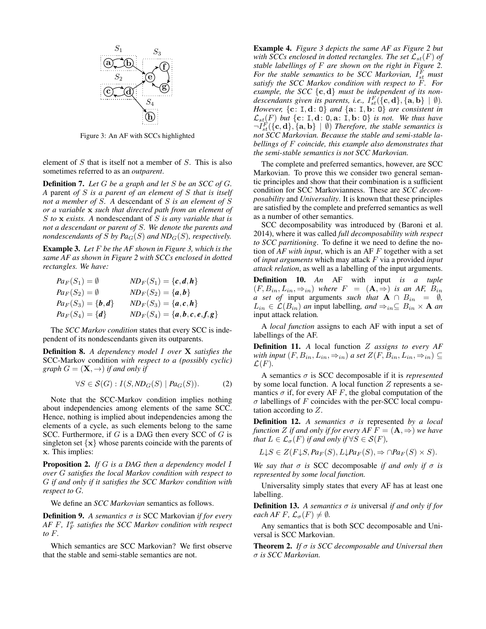<span id="page-4-0"></span>

Figure 3: An AF with SCCs highlighted

element of  $S$  that is itself not a member of  $S$ . This is also sometimes referred to as an *outparent*.

Definition 7. *Let* G *be a graph and let* S *be an SCC of* G*. A* parent *of* S *is a parent of an element of* S *that is itself not a member of* S*. A* descendant of S *is an element of* S *or a variable* x *such that directed path from an element of* S *to* x *exists. A* nondescendant of S *is any variable that is not a descendant or parent of* S*. We denote the parents and nondescendants of* S by  $Pa_G(S)$  *and ND<sub>G</sub>(S), respectively.* 

Example 3. *Let* F *be the AF shown in Figure [3,](#page-4-0) which is the same AF as shown in Figure [2](#page-3-1) with SCCs enclosed in dotted rectangles. We have:*

$$
Pa_F(S_1) = \emptyset \qquad ND_F(S_1) = \{c, d, h\}
$$
  
\n
$$
Pa_F(S_2) = \emptyset \qquad ND_F(S_2) = \{a, b\}
$$
  
\n
$$
Pa_F(S_3) = \{b, d\} \qquad ND_F(S_3) = \{a, c, h\}
$$
  
\n
$$
Pa_F(S_4) = \{d\} \qquad ND_F(S_4) = \{a, b, c, e, f, g\}
$$

The *SCC Markov condition* states that every SCC is independent of its nondescendants given its outparents.

Definition 8. *A dependency model* I *over* X *satisfies the* SCC-Markov condition *with respect to a (possibly cyclic) graph*  $G = (\mathbf{X}, \rightarrow)$  *if and only if* 

$$
\forall S \in \mathcal{S}(G) : I(S, ND_G(S) | Pa_G(S)). \tag{2}
$$

Note that the SCC-Markov condition implies nothing about independencies among elements of the same SCC. Hence, nothing is implied about independencies among the elements of a cycle, as such elements belong to the same SCC. Furthermore, if  $G$  is a DAG then every SCC of  $G$  is singleton set  $\{x\}$  whose parents coincide with the parents of x. This implies:

<span id="page-4-3"></span>Proposition 2. *If* G *is a DAG then a dependency model* I *over* G *satisfies the local Markov condition with respect to* G *if and only if it satisfies the SCC Markov condition with respect to* G*.*

We define an *SCC Markovian* semantics as follows.

Definition 9. *A semantics* σ *is* SCC Markovian *if for every AF F*, *I*<sub>*F*</sub> satisfies the SCC Markov condition with respect *to* F*.*

Which semantics are SCC Markovian? We first observe that the stable and semi-stable semantics are not.

Example 4. *Figure [3](#page-4-0) depicts the same AF as Figure [2](#page-3-1) but with SCCs enclosed in dotted rectangles. The set*  $\mathcal{L}_{st}(F)$  *of stable labellings of* F *are shown on the right in Figure [2.](#page-3-1)* For the stable semantics to be SCC Markovian,  $I_{st}^F$  must *satisfy the SCC Markov condition with respect to* F*. For* example, the SCC  $\{c, d\}$  must be independent of its non*descendants given its parents, i.e.,*  $I_{st}^F(\hat{\{\mathbf{c}},\mathbf{d}\},\{\mathbf{a},\mathbf{b}\}\mid \emptyset)$ *. However,* {c: I, d: O} *and* {a: I, b: O} *are consistent in*  $\mathcal{L}_{st}(F)$  *but* {**c**: **I**, **d**: **0**, **a**: **I**, **b**: **0**} *is not. We thus have*  $\neg I_{st}^F(\{\mathbf{c},\mathbf{d}\},\{\mathbf{a},\mathbf{b}\}\mid \emptyset)$  *Therefore, the stable semantics is not SCC Markovian. Because the stable and semi-stable labellings of* F *coincide, this example also demonstrates that the semi-stable semantics is not SCC Markovian.*

The complete and preferred semantics, however, are SCC Markovian. To prove this we consider two general semantic principles and show that their combination is a sufficient condition for SCC Markovianness. These are *SCC decomposability* and *Universality*. It is known that these principles are satisfied by the complete and preferred semantics as well as a number of other semantics.

SCC decomposability was introduced by [\(Baroni et al.](#page-9-11) [2014\)](#page-9-11), where it was called *full decomposability with respect to SCC partitioning*. To define it we need to define the notion of *AF with input*, which is an AF F together with a set of *input arguments* which may attack F via a provided *input attack relation*, as well as a labelling of the input arguments.

Definition 10. *An* AF with input *is a tuple*  $(F, B_{in}, L_{in}, \Rightarrow_{in})$  where  $F = (\mathbf{A}, \Rightarrow)$  *is an AF,*  $B_{in}$ *a set of* input arguments *such that*  $A \cap B_{in} = \emptyset$ *,*  $L_{in} \in \mathcal{L}(B_{in})$  *an* input labelling, and  $\Rightarrow_{in} \subseteq B_{in} \times \mathbf{A}$  *an* input attack relation*.*

A *local function* assigns to each AF with input a set of labellings of the AF.

<span id="page-4-4"></span>Definition 11. *A* local function Z *assigns to every AF with input*  $(F, B_{in}, L_{in}, \Rightarrow_{in})$  *a set*  $Z(F, B_{in}, L_{in}, \Rightarrow_{in}) \subseteq$  $\mathcal{L}(F)$ .

A semantics σ is SCC decomposable if it is *represented* by some local function. A local function  $Z$  represents a semantics  $\sigma$  if, for every AF F, the global computation of the  $\sigma$  labellings of F coincides with the per-SCC local computation according to Z.

<span id="page-4-2"></span>Definition 12. *A semantics* σ *is* represented *by a local function Z if and only if for every AF*  $F = (\mathbf{A}, \Rightarrow)$  *we have that*  $L \in \mathcal{L}_{\sigma}(F)$  *if and only if*  $\forall S \in \mathcal{S}(F)$ *,* 

$$
L\downarrow S \in Z(F\downarrow S, Pa_F(S), L\downarrow Pa_F(S), \Rightarrow \cap Pa_F(S) \times S).
$$

*We say that* σ *is* SCC decomposable *if and only if* σ *is represented by some local function.*

Universality simply states that every AF has at least one labelling.

**Definition 13.** A semantics  $\sigma$  is universal *if and only if for each AF F,*  $\mathcal{L}_{\sigma}(F) \neq \emptyset$ *.* 

Any semantics that is both SCC decomposable and Universal is SCC Markovian.

<span id="page-4-1"></span>Theorem 2. *If* σ *is SCC decomposable and Universal then* σ *is SCC Markovian.*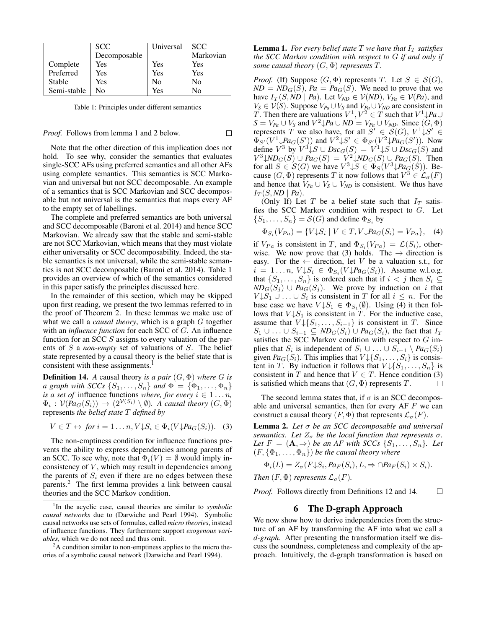<span id="page-5-3"></span>

|             | <b>SCC</b>   | Universal | SCC.      |
|-------------|--------------|-----------|-----------|
|             | Decomposable |           | Markovian |
| Complete    | Yes          | Yes       | Yes       |
| Preferred   | Yes          | Yes       | Yes       |
| Stable      | Yes          | No        | No        |
| Semi-stable | N٥           | Yes       | N٥        |

Table 1: Principles under different semantics

 $\Box$ 

#### *Proof.* Follows from lemma [1](#page-5-1) and [2](#page-5-2) below.

Note that the other direction of this implication does not hold. To see why, consider the semantics that evaluates single-SCC AFs using preferred semantics and all other AFs using complete semantics. This semantics is SCC Markovian and universal but not SCC decomposable. An example of a semantics that is SCC Markovian and SCC decomposable but not universal is the semantics that maps every AF to the empty set of labellings.

The complete and preferred semantics are both universal and SCC decomposable [\(Baroni et al. 2014\)](#page-9-11) and hence SCC Markovian. We already saw that the stable and semi-stable are not SCC Markovian, which means that they must violate either universality or SCC decomposability. Indeed, the stable semantics is not universal, while the semi-stable semantics is not SCC decomposable [\(Baroni et al. 2014\)](#page-9-11). Table [1](#page-5-3) provides an overview of which of the semantics considered in this paper satisfy the principles discussed here.

In the remainder of this section, which may be skipped upon first reading, we present the two lemmas referred to in the proof of Theorem [2.](#page-4-1) In these lemmas we make use of what we call a *causal theory*, which is a graph G together with an *influence function* for each SCC of G. An influence function for an SCC S assigns to every valuation of the parents of S a *non-empty* set of valuations of S. The belief state represented by a causal theory is the belief state that is consistent with these assignments.<sup>[1](#page-5-4)</sup>

<span id="page-5-8"></span>**Definition 14.** *A* causal theory *is a pair*  $(G, \Phi)$  *where G is a graph with SCCs*  $\{S_1, \ldots, S_n\}$  *and*  $\Phi = \{\Phi_1, \ldots, \Phi_n\}$ *is a set of* influence functions *where, for every*  $i \in 1...n$ ,  $\Phi_i: V(Pa_G(S_i)) \to (2^{\mathcal{V}(S_i)} \setminus \emptyset)$ . A causal theory  $(G, \Phi)$ represents *the belief state* T *defined by*

$$
V \in T \leftrightarrow \text{ for } i = 1 \dots n, V \downarrow S_i \in \Phi_i(V \downarrow \text{Pa}_G(S_i)). \quad (3)
$$

The non-emptiness condition for influence functions prevents the ability to express dependencies among parents of an SCC. To see why, note that  $\Phi_i(V) = \emptyset$  would imply inconsistency of  $V$ , which may result in dependencies among the parents of  $S_i$  even if there are no edges between these parents.[2](#page-5-5) The first lemma provides a link between causal theories and the SCC Markov condition.

<span id="page-5-1"></span>**Lemma 1.** *For every belief state*  $T$  *we have that*  $I_T$  *satisfies the SCC Markov condition with respect to* G *if and only if some causal theory* (G, Φ) *represents* T*.*

*Proof.* (If) Suppose  $(G, \Phi)$  represents T. Let  $S \in \mathcal{S}(G)$ ,  $ND = ND<sub>G</sub>(S)$ ,  $Pa = Pa<sub>G</sub>(S)$ . We need to prove that we have  $I_T(S, ND \mid Pa)$ . Let  $V_{ND} \in V(ND)$ ,  $V_{Pa} \in V(Pa)$ , and *V<sub>S</sub>* ∈  $V(S)$ . Suppose  $V_{Pa} \cup V_S$  and  $V_{Pa} \cup V_{ND}$  are consistent in T. Then there are valuations  $V^1, V^2 \in T$  such that  $V^1 \downarrow Pa \cup T$  $S = V_{Pa} \cup V_S$  and  $V^2 \downarrow Pa \cup ND = V_{Pa} \cup V_{ND}$ . Since  $(G, \Phi)$ represents T we also have, for all  $S' \in \mathcal{S}(G)$ ,  $V^1 \downarrow S' \in$  $\Phi_{S'}(V^1 \downarrow Pa_G(S'))$  and  $V^2 \downarrow S' \in \Phi_{S'}(V^2 \downarrow Pa_G(S'))$ . Now define  $V^3$  by  $V^3 \downarrow S \cup Dsc_G(S) = V^1 \downarrow S \cup Dsc_G(S)$  and  $V^3 \downarrow N D_G(S) \cup Pa_G(S) = V^2 \downarrow N D_G(S) \cup Pa_G(S)$ . Then for all  $S \in \mathcal{S}(G)$  we have  $V^3 \downarrow S \in \Phi_S(V^3 \downarrow Pa_G(S))$ . Because  $(G, \Phi)$  represents T it now follows that  $V^3 \in \mathcal{L}_{\sigma}(F)$ and hence that  $V_{Pa} \cup V_S \cup V_{ND}$  is consistent. We thus have  $I_T(S, ND \mid Pa)$ .

(Only If) Let T be a belief state such that  $I_T$  satisfies the SCC Markov condition with respect to  $G$ . Let  $\{S_1, \ldots, S_n\} = \mathcal{S}(G)$  and define  $\Phi_{S_i}$  by

<span id="page-5-7"></span>
$$
\Phi_{S_i}(V_{Pa}) = \{ V \downarrow S_i \mid V \in T, V \downarrow Pa_G(S_i) = V_{Pa} \}, \quad (4)
$$

if  $V_{Pa}$  is consistent in T, and  $\Phi_{S_i}(V_{Pa}) = \mathcal{L}(S_i)$ , other-wise. We now prove that [\(3\)](#page-5-6) holds. The  $\rightarrow$  direction is easy. For the  $\leftarrow$  direction, let V be a valuation s.t., for  $i = 1...n$ ,  $V \downarrow S_i \in \Phi_{S_i}(V \downarrow Pa_G(S_i))$ . Assume w.l.o.g. that  $\{S_1, \ldots, S_n\}$  is ordered such that if  $i < j$  then  $S_i \subseteq$  $ND_G(S_j) \cup Pa_G(S_j)$ . We prove by induction on i that  $V \downarrow S_1 \cup \ldots \cup S_i$  is consistent in T for all  $i \leq n$ . For the base case we have  $V{\downarrow}S_1 \in \Phi_{S_1}(\emptyset)$ . Using [\(4\)](#page-5-7) it then follows that  $V \downarrow S_1$  is consistent in T. For the inductive case, assume that  $V \downarrow \{S_1, \ldots, S_{i-1}\}$  is consistent in T. Since  $S_1 \cup \ldots \cup S_{i-1} \subseteq \text{ND}_G(S_i) \cup \text{Pa}_G(S_i)$ , the fact that  $I_T$ satisfies the SCC Markov condition with respect to G implies that  $S_i$  is independent of  $S_1 \cup \ldots \cup S_{i-1} \setminus Pa_G(S_i)$ given  $Pa_G(S_i)$ . This implies that  $V \downarrow \{S_1, \ldots, S_i\}$  is consistent in T. By induction it follows that  $V \downarrow \{S_1, \ldots, S_n\}$  is consistent in T and hence that  $V \in T$ . Hence condition [\(3\)](#page-5-6) is satisfied which means that  $(G, \Phi)$  represents T.  $\Box$ 

<span id="page-5-6"></span>The second lemma states that, if  $\sigma$  is an SCC decomposable and universal semantics, then for every  $AF F$  we can construct a causal theory  $(F, \Phi)$  that represents  $\mathcal{L}_{\sigma}(F)$ .

<span id="page-5-2"></span>Lemma 2. *Let* σ *be an SCC decomposable and universal semantics. Let*  $Z_{\sigma}$  *be the local function that represents*  $\sigma$ *. Let*  $F = (\mathbf{A}, \Rightarrow)$  *be an AF with SCCs*  $\{S_1, \ldots, S_n\}$ *. Let*  $(F, {\Phi_1, \ldots, \Phi_n})$  *be the causal theory where* 

$$
\Phi_i(L) = Z_{\sigma}(F \downarrow S_i, Pa_F(S_i), L, \Rightarrow \cap Pa_F(S_i) \times S_i).
$$

*Then*  $(F, \Phi)$  *represents*  $\mathcal{L}_{\sigma}(F)$ *.* 

*Proof.* Follows directly from Definitions [12](#page-4-2) and [14.](#page-5-8)  $\Box$ 

## 6 The D-graph Approach

<span id="page-5-0"></span>We now show how to derive independencies from the structure of an AF by transforming the AF into what we call a *d-graph*. After presenting the transformation itself we discuss the soundness, completeness and complexity of the approach. Intuitively, the d-graph transformation is based on

<span id="page-5-4"></span><sup>&</sup>lt;sup>1</sup>In the acyclic case, causal theories are similar to *symbolic causal networks* due to [\(Darwiche and Pearl 1994\)](#page-9-9). Symbolic causal networks use sets of formulas, called *micro theories*, instead of influence functions. They furthermore support *exogenous variables*, which we do not need and thus omit.

<span id="page-5-5"></span><sup>&</sup>lt;sup>2</sup>A condition similar to non-emptiness applies to the micro theories of a symbolic causal network [\(Darwiche and Pearl 1994\)](#page-9-9).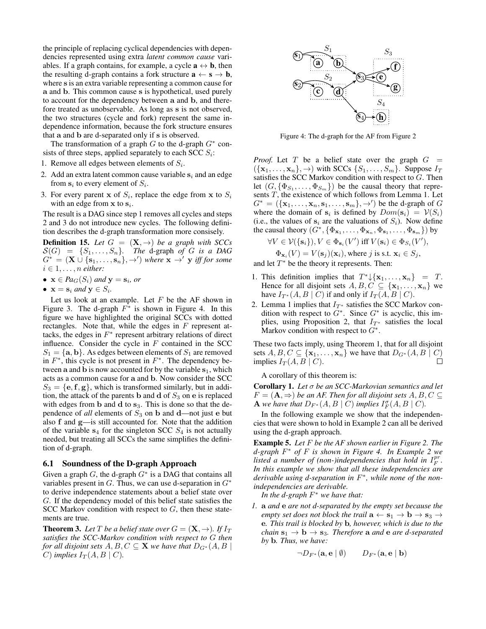the principle of replacing cyclical dependencies with dependencies represented using extra *latent common cause* variables. If a graph contains, for example, a cycle  $\mathbf{a} \leftrightarrow \mathbf{b}$ , then the resulting d-graph contains a fork structure  $\mathbf{a} \leftarrow \mathbf{s} \rightarrow \mathbf{b}$ , where s is an extra variable representing a common cause for a and b. This common cause s is hypothetical, used purely to account for the dependency between a and b, and therefore treated as unobservable. As long as s is not observed, the two structures (cycle and fork) represent the same independence information, because the fork structure ensures that a and b are d-separated only if s is observed.

The transformation of a graph  $G$  to the d-graph  $G^*$  consists of three steps, applied separately to each SCC  $S_i$ :

- 1. Remove all edges between elements of  $S_i$ .
- 2. Add an extra latent common cause variable  $s_i$  and an edge from  $s_i$  to every element of  $S_i$ .
- 3. For every parent **x** of  $S_i$ , replace the edge from **x** to  $S_i$ with an edge from  $x$  to  $s_i$ .

The result is a DAG since step 1 removes all cycles and steps 2 and 3 do not introduce new cycles. The following definition describes the d-graph transformation more consisely.

**Definition 15.** Let  $G = (\mathbf{X}, \rightarrow)$  be a graph with SCCs  $S(G) = \{S_1, \ldots, S_n\}$ . The d-graph of G is a DAG  $G^* = (\mathbf{X} \cup \{s_1, \ldots, s_n\}, \rightarrow')$  where  $\mathbf{x} \rightarrow' \mathbf{y}$  iff for some  $i \in 1, \ldots, n$  either:

- $\mathbf{x} \in Pa_G(S_i)$  and  $\mathbf{y} = \mathbf{s}_i$ , or
- $\mathbf{x} = \mathbf{s}_i$  and  $\mathbf{y} \in S_i$ .

Let us look at an example. Let  $F$  be the AF shown in Figure [3.](#page-4-0) The d-graph  $F^*$  is shown in Figure [4.](#page-6-0) In this figure we have highlighted the original SCCs with dotted rectangles. Note that, while the edges in  $F$  represent attacks, the edges in  $F^*$  represent arbitrary relations of direct influence. Consider the cycle in  $F$  contained in the SCC  $S_1 = {\bf{a}, \bf{b}}$ . As edges between elements of  $S_1$  are removed in  $F^*$ , this cycle is not present in  $F^*$ . The dependency between a and b is now accounted for by the variable  $s_1$ , which acts as a common cause for a and b. Now consider the SCC  $S_3 = {\bf e}, {\bf f}, {\bf g}$ , which is transformed similarly, but in addition, the attack of the parents b and  $\bf d$  of  $S_3$  on  $\bf e$  is replaced with edges from  $b$  and  $d$  to  $s_3$ . This is done so that the dependence of *all* elements of  $S_3$  on **b** and **d**—not just **e** but also f and g—is still accounted for. Note that the addition of the variable  $s_4$  for the singleton SCC  $S_4$  is not actually needed, but treating all SCCs the same simplifies the definition of d-graph.

#### 6.1 Soundness of the D-graph Approach

Given a graph  $G$ , the d-graph  $G^*$  is a DAG that contains all variables present in  $G$ . Thus, we can use d-separation in  $G^*$ to derive independence statements about a belief state over G. If the dependency model of this belief state satisfies the SCC Markov condition with respect to  $G$ , then these statements are true.

**Theorem 3.** Let T be a belief state over  $G = (\mathbf{X}, \rightarrow)$ . If  $I_T$ *satisfies the SCC-Markov condition with respect to* G *then for all disjoint sets*  $A, B, C \subseteq \mathbf{X}$  *we have that*  $D_{G^*}(A, B)$ C) *implies*  $I_T(A, B \mid C)$ .

<span id="page-6-0"></span>

Figure 4: The d-graph for the AF from Figure [2](#page-3-1)

*Proof.* Let T be a belief state over the graph  $G =$  $({x_1, \ldots, x_n}, \rightarrow)$  with SCCs  ${S_1, \ldots, S_m}$ . Suppose  $I_T$ satisfies the SCC Markov condition with respect to G. Then let  $(G, \{\Phi_{S_1}, \ldots, \Phi_{S_m}\})$  be the causal theory that represents T, the existence of which follows from Lemma [1.](#page-5-1) Let  $G^* = (\{\mathbf{x}_1, \dots, \mathbf{x}_n, \mathbf{s}_1, \dots, \mathbf{s}_m\}, \rightarrow)$  be the d-graph of  $G$ where the domain of  $s_i$  is defined by  $Dom(s_i) = V(S_i)$ (i.e., the values of  $s_i$  are the valuations of  $S_i$ ). Now define the causal theory  $(G^*, {\{\Phi_{\mathbf{x}_1}, \ldots, \Phi_{\mathbf{x}_n}, \Phi_{\mathbf{s}_1}, \ldots, \Phi_{\mathbf{s}_m}\}})$  by

$$
\forall V \in \mathcal{V}(\{\mathbf{s}_i\}), V \in \Phi_{\mathbf{s}_i}(V') \text{ iff } V(\mathbf{s}_i) \in \Phi_{S_i}(V'),
$$
  

$$
\Phi_{\mathbf{x}_i}(V) = V(\mathbf{s}_j)(\mathbf{x}_i), \text{ where } j \text{ is s.t. } \mathbf{x}_i \in S_j,
$$

and let  $T^*$  be the theory it represents. Then:

- 1. This definition implies that  $T^* \downarrow {\mathbf{x}_1, \dots, \mathbf{x}_n} = T$ . Hence for all disjoint sets  $A, B, C \subseteq {\mathbf{x}_1, \ldots, \mathbf{x}_n}$  we have  $I_{T^*}(A, B \mid C)$  if and only if  $I_T(A, B \mid C)$ .
- 2. Lemma [1](#page-5-1) implies that  $I_{T^*}$  satisfies the SCC Markov condition with respect to  $G^*$ . Since  $G^*$  is acyclic, this im-plies, using Proposition [2,](#page-4-3) that  $I_{T^*}$  satisfies the local Markov condition with respect to  $G^*$ .

These two facts imply, using Theorem [1,](#page-2-4) that for all disjoint sets  $A, B, C \subseteq {\mathbf{x}_1, \dots, \mathbf{x}_n}$  we have that  $D_{G^*}(A, B \mid C)$ implies  $I_T(A, B \mid C)$ . П

A corollary of this theorem is:

Corollary 1. *Let* σ *be an SCC-Markovian semantics and let*  $F = (\mathbf{A}, \Rightarrow)$  be an AF. Then for all disjoint sets  $A, B, C \subseteq$ **A** we have that  $D_{F^*}(A, B \mid C)$  implies  $I_F^{\sigma}(A, B \mid C)$ .

In the following example we show that the independencies that were shown to hold in Example [2](#page-3-2) can all be derived using the d-graph approach.

<span id="page-6-1"></span>Example 5. *Let* F *be the AF shown earlier in Figure [2.](#page-3-1) The d-graph* F <sup>∗</sup> *of* F *is shown in Figure [4.](#page-6-0) In Example [2](#page-3-2) we* listed a number of (non-)independencies that hold in  $I_F^{pr}$ . *In this example we show that all these independencies are derivable using d-separation in* F ∗ *, while none of the nonindependencies are derivable.*

*In the d-graph* F <sup>∗</sup> *we have that:*

*1.* a *and* e *are not d-separated by the empty set because the empty set does not block the trail*  $\mathbf{a} \leftarrow \mathbf{s}_1 \rightarrow \mathbf{b} \rightarrow \mathbf{s}_3 \rightarrow \mathbf{c}_4$ e*. This trail is blocked by* b*, however, which is due to the chain*  $s_1 \rightarrow b \rightarrow s_3$ *. Therefore* a *and* e *are d-separated by* b*. Thus, we have:*

$$
\neg D_{F^*}(\mathbf{a}, \mathbf{e} \mid \emptyset) \qquad D_{F^*}(\mathbf{a}, \mathbf{e} \mid \mathbf{b})
$$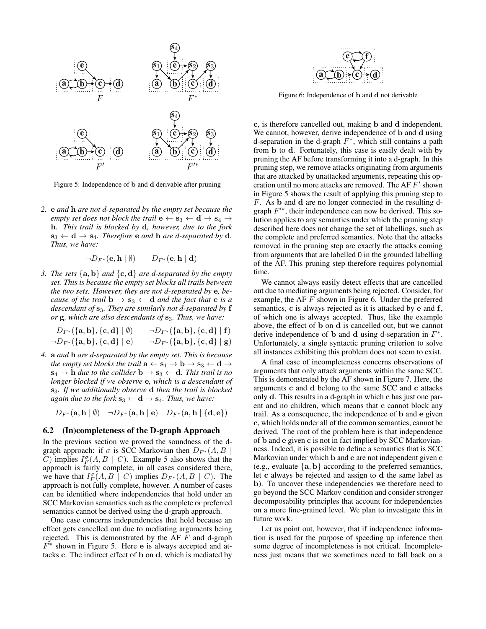<span id="page-7-0"></span>

Figure 5: Independence of b and d derivable after pruning

*2.* e *and* h *are not d-separated by the empty set because the empty set does not block the trail*  $e \leftarrow s_3 \leftarrow d \rightarrow s_4 \rightarrow$ h*. This trail is blocked by* d*, however, due to the fork*  $\mathbf{s}_3 \leftarrow \mathbf{d} \rightarrow \mathbf{s}_4$ *. Therefore* **e** *and* **h** *are d-separated by* **d**. *Thus, we have:*

$$
\neg D_{F^*}(\mathbf{e}, \mathbf{h} \mid \emptyset) \qquad D_{F^*}(\mathbf{e}, \mathbf{h} \mid \mathbf{d})
$$

*3. The sets*  $\{a, b\}$  *and*  $\{c, d\}$  *are d-separated by the empty set. This is because the empty set blocks all trails between the two sets. However, they are not d-separated by* e*, because of the trail*  $\mathbf{b} \to \mathbf{s}_3 \leftarrow \mathbf{d}$  *and the fact that*  $\mathbf{e}$  *is a descendant of* s3*. They are similarly not d-separated by* f *or* **g***, which are also descendants of* **s**<sub>3</sub>*. Thus, we have:* 

$$
\begin{array}{ll}D_{F^*}(\{{\bf a},{\bf b}\},\{{\bf c},{\bf d}\}\mid \emptyset) & \neg D_{F^*}(\{{\bf a},{\bf b}\},\{{\bf c},{\bf d}\}\mid {\bf f})\\ \neg D_{F^*}(\{{\bf a},{\bf b}\},\{{\bf c},{\bf d}\}\mid {\bf e}) & \neg D_{F^*}(\{{\bf a},{\bf b}\},\{{\bf c},{\bf d}\}\mid {\bf g})\end{array}
$$

*4.* a *and* h *are d-separated by the empty set. This is because the empty set blocks the trail*  $\mathbf{a} \leftarrow \mathbf{s}_1 \rightarrow \mathbf{b} \rightarrow \mathbf{s}_3 \leftarrow \mathbf{d} \rightarrow$  $s_4 \rightarrow h$  *due to the collider*  $b \rightarrow s_3 \leftarrow d$ *. This trail is no longer blocked if we observe* e*, which is a descendant of* s3*. If we additionally observe* d *then the trail is blocked again due to the fork*  $\mathbf{s}_3 \leftarrow \mathbf{d} \rightarrow \mathbf{s}_4$ *. Thus, we have:* 

 $D_{F^*}(\mathbf{a}, \mathbf{h} | \emptyset) \quad \neg D_{F^*}(\mathbf{a}, \mathbf{h} | \mathbf{e}) \quad D_{F^*}(\mathbf{a}, \mathbf{h} | \{\mathbf{d}, \mathbf{e}\})$ 

#### <span id="page-7-2"></span>6.2 (In)completeness of the D-graph Approach

In the previous section we proved the soundness of the dgraph approach: if  $\sigma$  is SCC Markovian then  $D_{F^*}(A, B)$ C) implies  $I_F^{\sigma}(A, B \mid C)$ . Example [5](#page-6-1) also shows that the approach is fairly complete; in all cases considered there, we have that  $I_F^{\sigma}(A, B \mid C)$  implies  $D_{F^*}(A, B \mid C)$ . The approach is not fully complete, however. A number of cases can be identified where independencies that hold under an SCC Markovian semantics such as the complete or preferred semantics cannot be derived using the d-graph approach.

One case concerns independencies that hold because an effect gets cancelled out due to mediating arguments being rejected. This is demonstrated by the AF  $F$  and d-graph  $F^*$  shown in Figure [5.](#page-7-0) Here e is always accepted and attacks c. The indirect effect of b on d, which is mediated by

<span id="page-7-1"></span>

Figure 6: Independence of b and d not derivable

c, is therefore cancelled out, making b and d independent. We cannot, however, derive independence of b and d using d-separation in the d-graph  $F^*$ , which still contains a path from b to d. Fortunately, this case is easily dealt with by pruning the AF before transforming it into a d-graph. In this pruning step, we remove attacks originating from arguments that are attacked by unattacked arguments, repeating this operation until no more attacks are removed. The AF  $\overline{F}$ ' shown in Figure [5](#page-7-0) shows the result of applying this pruning step to F. As b and d are no longer connected in the resulting dgraph  $F^{\prime*}$ , their independence can now be derived. This solution applies to any semantics under which the pruning step described here does not change the set of labellings, such as the complete and preferred semantics. Note that the attacks removed in the pruning step are exactly the attacks coming from arguments that are labelled O in the grounded labelling of the AF. This pruning step therefore requires polynomial time.

We cannot always easily detect effects that are cancelled out due to mediating arguments being rejected. Consider, for example, the AF  $F$  shown in Figure [6.](#page-7-1) Under the preferred semantics, c is always rejected as it is attacked by e and f, of which one is always accepted. Thus, like the example above, the effect of b on d is cancelled out, but we cannot derive independence of b and d using d-separation in  $F^*$ . Unfortunately, a single syntactic pruning criterion to solve all instances exhibiting this problem does not seem to exist.

A final case of incompleteness concerns observations of arguments that only attack arguments within the same SCC. This is demonstrated by the AF shown in Figure [7.](#page-8-2) Here, the arguments c and d belong to the same SCC and c attacks only d. This results in a d-graph in which c has just one parent and no children, which means that c cannot block any trail. As a consequence, the independence of b and e given c, which holds under all of the common semantics, cannot be derived. The root of the problem here is that independence of b and e given c is not in fact implied by SCC Markovianness. Indeed, it is possible to define a semantics that is SCC Markovian under which b and e are not independent given c (e.g., evaluate  $\{a, b\}$  according to the preferred semantics, let c always be rejected and assign to d the same label as b). To uncover these independencies we therefore need to go beyond the SCC Markov condition and consider stronger decomposability principles that account for independencies on a more fine-grained level. We plan to investigate this in future work.

Let us point out, however, that if independence information is used for the purpose of speeding up inference then some degree of incompleteness is not critical. Incompleteness just means that we sometimes need to fall back on a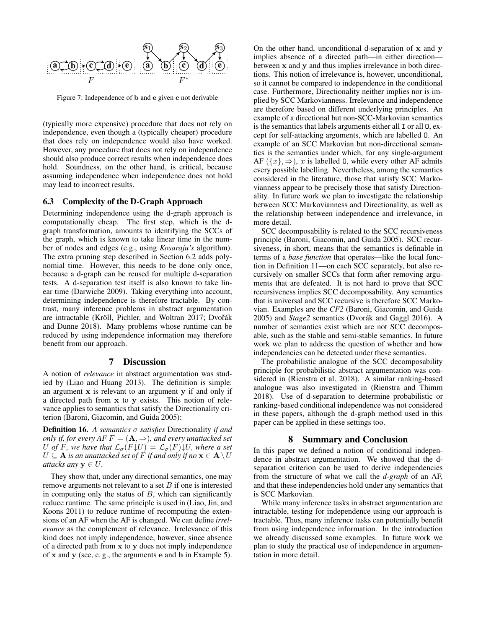<span id="page-8-2"></span>

Figure 7: Independence of b and e given c not derivable

(typically more expensive) procedure that does not rely on independence, even though a (typically cheaper) procedure that does rely on independence would also have worked. However, any procedure that does not rely on independence should also produce correct results when independence does hold. Soundness, on the other hand, is critical, because assuming independence when independence does not hold may lead to incorrect results.

## 6.3 Complexity of the D-Graph Approach

Determining independence using the d-graph approach is computationally cheap. The first step, which is the dgraph transformation, amounts to identifying the SCCs of the graph, which is known to take linear time in the number of nodes and edges (e.g., using *Kosaraju's* algorithm). The extra pruning step described in Section [6.2](#page-7-2) adds polynomial time. However, this needs to be done only once, because a d-graph can be reused for multiple d-separation tests. A d-separation test itself is also known to take linear time [\(Darwiche 2009\)](#page-9-12). Taking everything into account, determining independence is therefore tractable. By contrast, many inference problems in abstract argumentation are intractable (Kröll, Pichler, and Woltran 2017; [Dvo](#page-9-13)řák [and Dunne 2018\)](#page-9-13). Many problems whose runtime can be reduced by using independence information may therefore benefit from our approach.

### 7 Discussion

<span id="page-8-0"></span>A notion of *relevance* in abstract argumentation was studied by [\(Liao and Huang 2013\)](#page-9-14). The definition is simple: an argument x is relevant to an argument y if and only if a directed path from x to y exists. This notion of relevance applies to semantics that satisfy the Directionality criterion [\(Baroni, Giacomin, and Guida 2005\)](#page-9-15):

Definition 16. *A semantics* σ *satisfies* Directionality *if and only if, for every AF*  $F = (\mathbf{A}, \Rightarrow)$ *, and every unattacked set* U of F, we have that  $\mathcal{L}_{\sigma}(F\downarrow U) = \mathcal{L}_{\sigma}(F)\downarrow U$ , where a set  $U \subseteq A$  *is an unattacked set of* F *if and only if no*  $\mathbf{x} \in A \setminus U$ *attacks any*  $y \in U$ .

They show that, under any directional semantics, one may remove arguments not relevant to a set  $B$  if one is interested in computing only the status of  $B$ , which can significantly reduce runtime. The same principle is used in [\(Liao, Jin, and](#page-9-16) [Koons 2011\)](#page-9-16) to reduce runtime of recomputing the extensions of an AF when the AF is changed. We can define *irrelevance* as the complement of relevance. Irrelevance of this kind does not imply independence, however, since absence of a directed path from x to y does not imply independence of x and y (see, e. g., the arguments e and h in Example [5\)](#page-6-1).

On the other hand, unconditional d-separation of  $x$  and  $y$ implies absence of a directed path—in either direction between x and y and thus implies irrelevance in both directions. This notion of irrelevance is, however, unconditional, so it cannot be compared to independence in the conditional case. Furthermore, Directionality neither implies nor is implied by SCC Markovianness. Irrelevance and independence are therefore based on different underlying principles. An example of a directional but non-SCC-Markovian semantics is the semantics that labels arguments either all I or all O, except for self-attacking arguments, which are labelled O. An example of an SCC Markovian but non-directional semantics is the semantics under which, for any single-argument AF  $({x}, \Rightarrow)$ , x is labelled 0, while every other AF admits every possible labelling. Nevertheless, among the semantics considered in the literature, those that satisfy SCC Markovianness appear to be precisely those that satisfy Directionality. In future work we plan to investigate the relationship between SCC Markovianness and Directionality, as well as the relationship between independence and irrelevance, in more detail.

SCC decomposability is related to the SCC recursiveness principle [\(Baroni, Giacomin, and Guida 2005\)](#page-9-15). SCC recursiveness, in short, means that the semantics is definable in terms of a *base function* that operates—like the local function in Definition [11—](#page-4-4)on each SCC separately, but also recursively on smaller SCCs that form after removing arguments that are defeated. It is not hard to prove that SCC recursiveness implies SCC decomposability. Any semantics that is universal and SCC recursive is therefore SCC Markovian. Examples are the *CF2* [\(Baroni, Giacomin, and Guida](#page-9-15) [2005\)](#page-9-15) and *Stage2* semantics (Dvorák and Gaggl 2016). A number of semantics exist which are not SCC decomposable, such as the stable and semi-stable semantics. In future work we plan to address the question of whether and how independencies can be detected under these semantics.

The probabilistic analogue of the SCC decomposability principle for probabilistic abstract argumentation was considered in [\(Rienstra et al. 2018\)](#page-9-18). A similar ranking-based analogue was also investigated in [\(Rienstra and Thimm](#page-9-19) [2018\)](#page-9-19). Use of d-separation to determine probabilistic or ranking-based conditional independence was not considered in these papers, although the d-graph method used in this paper can be applied in these settings too.

#### 8 Summary and Conclusion

<span id="page-8-1"></span>In this paper we defined a notion of conditional independence in abstract argumentation. We showed that the dseparation criterion can be used to derive independencies from the structure of what we call the *d-graph* of an AF, and that these independencies hold under any semantics that is SCC Markovian.

While many inference tasks in abstract argumentation are intractable, testing for independence using our approach is tractable. Thus, many inference tasks can potentially benefit from using independence information. In the introduction we already discussed some examples. In future work we plan to study the practical use of independence in argumentation in more detail.